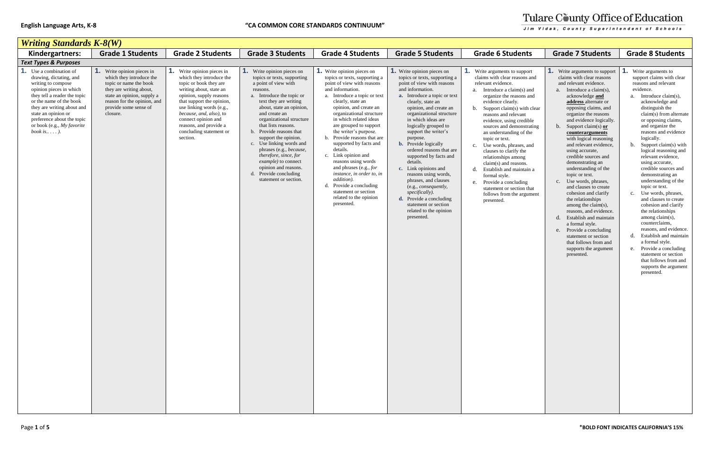| <b>Writing Standards K-8(W)</b>                                                                                                                                                                                                                                                                   |                                                                                                                                                                                                                      |                                                                                                                                                                                                                                                                                                                 |                                                                                                                                                                                                                                                                                                                                                                                                                                                                                                        |                                                                                                                                                                                                                                                                                                                                                                                                                                                                                                                                                                                                    |                                                                                                                                                                                                                                                                                                                                                                                                                                                                                                                                                                                                                                 |                                                                                                                                                                                                                                                                                                                                                                                                                                                                                                                                                                                                          |                                                                                                                                                                                                                                                                                                                                                                                                                                                                                                                                                                                                                                                                                                                                                                                |                                                                                                                                                                                                                                                                                                                                                                                                                                                                                                                                                                                                                                                                                                                                                                                 |
|---------------------------------------------------------------------------------------------------------------------------------------------------------------------------------------------------------------------------------------------------------------------------------------------------|----------------------------------------------------------------------------------------------------------------------------------------------------------------------------------------------------------------------|-----------------------------------------------------------------------------------------------------------------------------------------------------------------------------------------------------------------------------------------------------------------------------------------------------------------|--------------------------------------------------------------------------------------------------------------------------------------------------------------------------------------------------------------------------------------------------------------------------------------------------------------------------------------------------------------------------------------------------------------------------------------------------------------------------------------------------------|----------------------------------------------------------------------------------------------------------------------------------------------------------------------------------------------------------------------------------------------------------------------------------------------------------------------------------------------------------------------------------------------------------------------------------------------------------------------------------------------------------------------------------------------------------------------------------------------------|---------------------------------------------------------------------------------------------------------------------------------------------------------------------------------------------------------------------------------------------------------------------------------------------------------------------------------------------------------------------------------------------------------------------------------------------------------------------------------------------------------------------------------------------------------------------------------------------------------------------------------|----------------------------------------------------------------------------------------------------------------------------------------------------------------------------------------------------------------------------------------------------------------------------------------------------------------------------------------------------------------------------------------------------------------------------------------------------------------------------------------------------------------------------------------------------------------------------------------------------------|--------------------------------------------------------------------------------------------------------------------------------------------------------------------------------------------------------------------------------------------------------------------------------------------------------------------------------------------------------------------------------------------------------------------------------------------------------------------------------------------------------------------------------------------------------------------------------------------------------------------------------------------------------------------------------------------------------------------------------------------------------------------------------|---------------------------------------------------------------------------------------------------------------------------------------------------------------------------------------------------------------------------------------------------------------------------------------------------------------------------------------------------------------------------------------------------------------------------------------------------------------------------------------------------------------------------------------------------------------------------------------------------------------------------------------------------------------------------------------------------------------------------------------------------------------------------------|
| Kindergartners:                                                                                                                                                                                                                                                                                   | <b>Grade 1 Students</b>                                                                                                                                                                                              | <b>Grade 2 Students</b>                                                                                                                                                                                                                                                                                         | <b>Grade 3 Students</b>                                                                                                                                                                                                                                                                                                                                                                                                                                                                                | <b>Grade 4 Students</b>                                                                                                                                                                                                                                                                                                                                                                                                                                                                                                                                                                            | <b>Grade 5 Students</b>                                                                                                                                                                                                                                                                                                                                                                                                                                                                                                                                                                                                         | <b>Grade 6 Students</b>                                                                                                                                                                                                                                                                                                                                                                                                                                                                                                                                                                                  | <b>Grade 7 Students</b>                                                                                                                                                                                                                                                                                                                                                                                                                                                                                                                                                                                                                                                                                                                                                        | <b>Grade 8 Students</b>                                                                                                                                                                                                                                                                                                                                                                                                                                                                                                                                                                                                                                                                                                                                                         |
| <b>Text Types &amp; Purposes</b>                                                                                                                                                                                                                                                                  |                                                                                                                                                                                                                      |                                                                                                                                                                                                                                                                                                                 |                                                                                                                                                                                                                                                                                                                                                                                                                                                                                                        |                                                                                                                                                                                                                                                                                                                                                                                                                                                                                                                                                                                                    |                                                                                                                                                                                                                                                                                                                                                                                                                                                                                                                                                                                                                                 |                                                                                                                                                                                                                                                                                                                                                                                                                                                                                                                                                                                                          |                                                                                                                                                                                                                                                                                                                                                                                                                                                                                                                                                                                                                                                                                                                                                                                |                                                                                                                                                                                                                                                                                                                                                                                                                                                                                                                                                                                                                                                                                                                                                                                 |
| <b>1.</b> Use a combination of<br>drawing, dictating, and<br>writing to compose<br>opinion pieces in which<br>they tell a reader the topic<br>or the name of the book<br>they are writing about and<br>state an opinion or<br>preference about the topic<br>or book (e.g., My favorite<br>book is | <b>1.</b> Write opinion pieces in<br>which they introduce the<br>topic or name the book<br>they are writing about,<br>state an opinion, supply a<br>reason for the opinion, and<br>provide some sense of<br>closure. | Write opinion pieces in<br>which they introduce the<br>topic or book they are<br>writing about, state an<br>opinion, supply reasons<br>that support the opinion,<br>use linking words (e.g.,<br>because, and, also), to<br>connect opinion and<br>reasons, and provide a<br>concluding statement or<br>section. | <b>1.</b> Write opinion pieces on<br>topics or texts, supporting<br>a point of view with<br>reasons.<br>a. Introduce the topic or<br>text they are writing<br>about, state an opinion,<br>and create an<br>organizational structure<br>that lists reasons.<br>b. Provide reasons that<br>support the opinion.<br>c. Use linking words and<br>phrases (e.g., because,<br>therefore, since, for<br><i>example</i> ) to connect<br>opinion and reasons.<br>d. Provide concluding<br>statement or section. | <b>1.</b> Write opinion pieces on<br>topics or texts, supporting a<br>point of view with reasons<br>and information.<br>a. Introduce a topic or text<br>clearly, state an<br>opinion, and create an<br>organizational structure<br>in which related ideas<br>are grouped to support<br>the writer's purpose.<br>b. Provide reasons that are<br>supported by facts and<br>details.<br>c. Link opinion and<br>reasons using words<br>and phrases (e.g., for<br>instance, in order to, in<br>addition).<br>Provide a concluding<br>d.<br>statement or section<br>related to the opinion<br>presented. | <b>1.</b> Write opinion pieces on<br>topics or texts, supporting a<br>point of view with reasons<br>and information.<br>a. Introduce a topic or text<br>clearly, state an<br>opinion, and create an<br>organizational structure<br>in which ideas are<br>logically grouped to<br>support the writer's<br>purpose.<br><b>b.</b> Provide logically<br>ordered reasons that are<br>supported by facts and<br>details.<br>c. Link opinions and<br>reasons using words,<br>phrases, and clauses<br>(e.g., consequently,<br>specifically).<br>d. Provide a concluding<br>statement or section<br>related to the opinion<br>presented. | <b>1.</b> Write arguments to support<br>claims with clear reasons and<br>relevant evidence.<br>a. Introduce a claim(s) and<br>organize the reasons and<br>evidence clearly.<br>b. Support claim(s) with clear<br>reasons and relevant<br>evidence, using credible<br>sources and demonstrating<br>an understanding of the<br>topic or text.<br>c. Use words, phrases, and<br>clauses to clarify the<br>relationships among<br>$claim(s)$ and reasons.<br>d. Establish and maintain a<br>formal style.<br>e. Provide a concluding<br>statement or section that<br>follows from the argument<br>presented. | <b>1.</b> Write arguments to support<br>claims with clear reasons<br>and relevant evidence.<br>a. Introduce a claim(s),<br>acknowledge and<br>address alternate or<br>opposing claims, and<br>organize the reasons<br>and evidence logically.<br>b. Support claim(s) $or$<br>counterarguments<br>with logical reasoning<br>and relevant evidence,<br>using accurate,<br>credible sources and<br>demonstrating an<br>understanding of the<br>topic or text.<br>c. Use words, phrases,<br>and clauses to create<br>cohesion and clarify<br>the relationships<br>among the claim(s),<br>reasons, and evidence.<br>d. Establish and maintain<br>a formal style.<br>e. Provide a concluding<br>statement or section<br>that follows from and<br>supports the argument<br>presented. | Write arguments to<br>support claims with clear<br>reasons and relevant<br>evidence.<br>a. Introduce claim(s),<br>acknowledge and<br>distinguish the<br>claim(s) from alterna<br>or opposing claims,<br>and organize the<br>reasons and evidence<br>logically.<br>b. Support claim(s) with<br>logical reasoning and<br>relevant evidence,<br>using accurate,<br>credible sources and<br>demonstrating an<br>understanding of the<br>topic or text.<br>c. Use words, phrases,<br>and clauses to create<br>cohesion and clarify<br>the relationships<br>among claim(s),<br>counterclaims.<br>reasons, and evidenc<br>d. Establish and mainta<br>a formal style.<br>e. Provide a concluding<br>statement or section<br>that follows from and<br>supports the argumer<br>presented. |

# Tulare County Office of Education Jim Vidak, County Superintendent of Schools

pport ons and  $(s)$  and ons and with clear ant edible nstrating of the es, and the relationships among ns. ntain a  $\ln g$ on that rgument **1.** Write arguments to support claims with clear reasons and relevant evidence. a. Introduce a claim(s), acknowledge **and address** alternate or opposing claims, and organize the reasons and evidence logically. b. Support claim(s) **or counterarguments**  with logical reasoning and relevant evidence, using accurate, credible sources and demonstrating an understanding of the topic or text. c. Use words, phrases, and clauses to create cohesion and clarify the relationships among the claim(s), reasons, and evidence. d. Establish and maintain a formal style. e. Provide a concluding statement or section that follows from and supports the argument presented. **1.** Write arguments to support claims with clear reasons and relevant evidence. a. Introduce claim(s), acknowledge and distinguish the claim(s) from alternate or opposing claims, and organize the reasons and evidence logically. b. Support claim(s) with logical reasoning and relevant evidence, using accurate, credible sources and demonstrating an understanding of the topic or text. c. Use words, phrases, and clauses to create cohesion and clarify the relationships among claim(s), counterclaims, reasons, and evidence. d. Establish and maintain a formal style. e. Provide a concluding statement or section that follows from and supports the argument presented.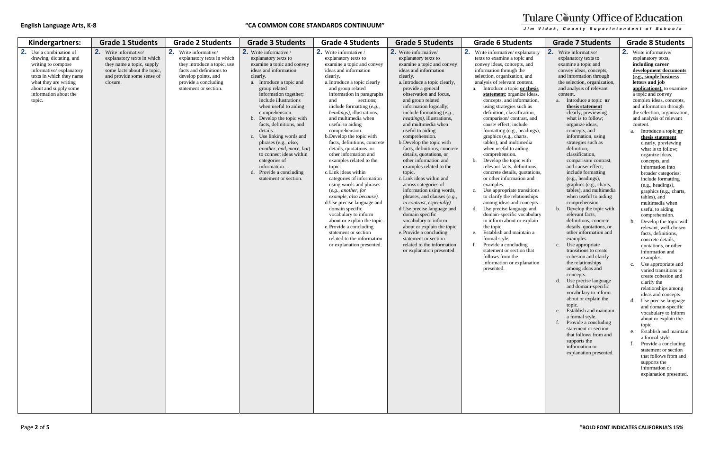| Kindergartners:                                                                                                                                                                                                         | <b>Grade 1 Students</b>                                                                                                                                  | <b>Grade 2 Students</b>                                                                                                                                                                | <b>Grade 3 Students</b>                                                                                                                                                                                                                                                                                                                                                                                                                                                                                                              | <b>Grade 4 Students</b>                                                                                                                                                                                                                                                                                                                                                                                                                                                                                                                                                                                                                                                                                                                                                                                                                                                 | <b>Grade 5 Students</b>                                                                                                                                                                                                                                                                                                                                                                                                                                                                                                                                                                                                                                                                                                                                                                                                                                                                                   | <b>Grade 6 Students</b>                                                                                                                                                                                                                                                                                                                                                                                                                                                                                                                                                                                                                                                                                                                                                                                                                                                                                                                                                                                                                                                        | <b>Grade 7 Students</b>                                                                                                                                                                                                                                                                                                                                                                                                                                                                                                                                                                                                                                                                                                                                                                                                                                                                                                                                                                                                                                                                                                                                                                    | <b>Grade 8 Students</b>                                                                                                                                                                                                                                                                                                                                                                                                                                                                                                                                                                                                                                                                                                                                                                                                                                                                                                                                                                                                                                                                                                                                                                                                                   |
|-------------------------------------------------------------------------------------------------------------------------------------------------------------------------------------------------------------------------|----------------------------------------------------------------------------------------------------------------------------------------------------------|----------------------------------------------------------------------------------------------------------------------------------------------------------------------------------------|--------------------------------------------------------------------------------------------------------------------------------------------------------------------------------------------------------------------------------------------------------------------------------------------------------------------------------------------------------------------------------------------------------------------------------------------------------------------------------------------------------------------------------------|-------------------------------------------------------------------------------------------------------------------------------------------------------------------------------------------------------------------------------------------------------------------------------------------------------------------------------------------------------------------------------------------------------------------------------------------------------------------------------------------------------------------------------------------------------------------------------------------------------------------------------------------------------------------------------------------------------------------------------------------------------------------------------------------------------------------------------------------------------------------------|-----------------------------------------------------------------------------------------------------------------------------------------------------------------------------------------------------------------------------------------------------------------------------------------------------------------------------------------------------------------------------------------------------------------------------------------------------------------------------------------------------------------------------------------------------------------------------------------------------------------------------------------------------------------------------------------------------------------------------------------------------------------------------------------------------------------------------------------------------------------------------------------------------------|--------------------------------------------------------------------------------------------------------------------------------------------------------------------------------------------------------------------------------------------------------------------------------------------------------------------------------------------------------------------------------------------------------------------------------------------------------------------------------------------------------------------------------------------------------------------------------------------------------------------------------------------------------------------------------------------------------------------------------------------------------------------------------------------------------------------------------------------------------------------------------------------------------------------------------------------------------------------------------------------------------------------------------------------------------------------------------|--------------------------------------------------------------------------------------------------------------------------------------------------------------------------------------------------------------------------------------------------------------------------------------------------------------------------------------------------------------------------------------------------------------------------------------------------------------------------------------------------------------------------------------------------------------------------------------------------------------------------------------------------------------------------------------------------------------------------------------------------------------------------------------------------------------------------------------------------------------------------------------------------------------------------------------------------------------------------------------------------------------------------------------------------------------------------------------------------------------------------------------------------------------------------------------------|-------------------------------------------------------------------------------------------------------------------------------------------------------------------------------------------------------------------------------------------------------------------------------------------------------------------------------------------------------------------------------------------------------------------------------------------------------------------------------------------------------------------------------------------------------------------------------------------------------------------------------------------------------------------------------------------------------------------------------------------------------------------------------------------------------------------------------------------------------------------------------------------------------------------------------------------------------------------------------------------------------------------------------------------------------------------------------------------------------------------------------------------------------------------------------------------------------------------------------------------|
| 2.<br>Use a combination of<br>drawing, dictating, and<br>writing to compose<br>informative/explanatory<br>texts in which they name<br>what they are writing<br>about and supply some<br>information about the<br>topic. | 2. Write informative/<br>explanatory texts in which<br>they name a topic, supply<br>some facts about the topic,<br>and provide some sense of<br>closure. | 2. Write informative/<br>explanatory texts in which<br>they introduce a topic, use<br>facts and definitions to<br>develop points, and<br>provide a concluding<br>statement or section. | 2. Write informative /<br>explanatory texts to<br>examine a topic and convey<br>ideas and information<br>clearly.<br>a. Introduce a topic and<br>group related<br>information together;<br>include illustrations<br>when useful to aiding<br>comprehension.<br>b. Develop the topic with<br>facts, definitions, and<br>details.<br>c. Use linking words and<br>phrases (e.g., <i>also</i> ,<br>another, and, more, but)<br>to connect ideas within<br>categories of<br>information.<br>Provide a concluding<br>statement or section. | 2. Write informative /<br>explanatory texts to<br>examine a topic and convey<br>ideas and information<br>clearly.<br>a. Introduce a topic clearly<br>and group related<br>information in paragraphs<br>and<br>sections:<br>include formatting $(e.g.,$<br><i>headings</i> ), illustrations,<br>and multimedia when<br>useful to aiding<br>comprehension.<br>b. Develop the topic with<br>facts, definitions, concrete<br>details, quotations, or<br>other information and<br>examples related to the<br>topic.<br>c. Link ideas within<br>categories of information<br>using words and phrases<br>(e.g., another, for<br>example, also because).<br>d. Use precise language and<br>domain specific<br>vocabulary to inform<br>about or explain the topic.<br>e. Provide a concluding<br>statement or section<br>related to the information<br>or explanation presented. | 2. Write informative/<br>explanatory texts to<br>examine a topic and convey<br>ideas and information<br>clearly.<br>a. Introduce a topic clearly,<br>provide a general<br>observation and focus,<br>and group related<br>information logically;<br>include formatting $(e.g.,$<br><i>headings</i> ), illustrations,<br>and multimedia when<br>useful to aiding<br>comprehension.<br>b. Develop the topic with<br>facts, definitions, concrete<br>details, quotations, or<br>other information and<br>examples related to the<br>topic.<br>c. Link ideas within and<br>across categories of<br>information using words,<br>phrases, and clauses (e.g.,<br>in contrast, especially).<br>d. Use precise language and<br>domain specific<br>vocabulary to inform<br>about or explain the topic.<br>e. Provide a concluding<br>statement or section<br>related to the information<br>or explanation presented. | 2. Write informative/explanatory<br>texts to examine a topic and<br>convey ideas, concepts, and<br>information through the<br>selection, organization, and<br>analysis of relevant content.<br>a. Introduce a topic or thesis<br>statement; organize ideas,<br>concepts, and information,<br>using strategies such as<br>definition, classification,<br>comparison/contrast, and<br>cause/ effect; include<br>formatting (e.g., headings),<br>graphics (e.g., charts,<br>tables), and multimedia<br>when useful to aiding<br>comprehension.<br>Develop the topic with<br>b.<br>relevant facts, definitions,<br>concrete details, quotations,<br>or other information and<br>examples.<br>Use appropriate transitions<br>c.<br>to clarify the relationships<br>among ideas and concepts.<br>d. Use precise language and<br>domain-specific vocabulary<br>to inform about or explain<br>the topic.<br>Establish and maintain a<br>e.<br>formal style.<br>Provide a concluding<br>f.<br>statement or section that<br>follows from the<br>information or explanation<br>presented. | $-2.$<br>Write informative/<br>explanatory texts to<br>examine a topic and<br>convey ideas, concepts,<br>and information through<br>the selection, organization,<br>and analysis of relevant<br>content.<br>a. Introduce a topic or<br>thesis statement<br>clearly, previewing<br>what is to follow;<br>organize ideas,<br>concepts, and<br>information, using<br>strategies such as<br>definition,<br>classification,<br>comparison/contrast,<br>and cause/ effect:<br>include formatting<br>(e.g., headings),<br>graphics (e.g., charts,<br>tables), and multimedia<br>when useful to aiding<br>comprehension.<br>Develop the topic with<br>relevant facts,<br>definitions, concrete<br>details, quotations, or<br>other information and<br>examples.<br>c. Use appropriate<br>transitions to create<br>cohesion and clarify<br>the relationships<br>among ideas and<br>concepts.<br>Use precise language<br>d.<br>and domain-specific<br>vocabulary to inform<br>about or explain the<br>topic.<br>e. Establish and maintain<br>a formal style.<br>f. Provide a concluding<br>statement or section<br>that follows from and<br>supports the<br>information or<br>explanation presented. | 2. Write informative/<br>explanatory texts,<br>including career<br>development document<br>(e.g., simple business<br>letters and job<br>applications), to examin<br>a topic and convey<br>complex ideas, concepts,<br>and information through<br>the selection, organization<br>and analysis of relevant<br>content.<br>a. Introduce a topic or<br>thesis statement<br>clearly, previewing<br>what is to follow;<br>organize ideas,<br>concepts, and<br>information into<br>broader categories;<br>include formatting<br>(e.g., headings),<br>graphics (e.g., charts<br>tables), and<br>multimedia when<br>useful to aiding<br>comprehension.<br>b. Develop the topic wi<br>relevant, well-choser<br>facts, definitions,<br>concrete details,<br>quotations, or other<br>information and<br>examples.<br>c. Use appropriate and<br>varied transitions to<br>create cohesion and<br>clarify the<br>relationships among<br>ideas and concepts.<br>d. Use precise language<br>and domain-specific<br>vocabulary to inform<br>about or explain the<br>topic.<br>e. Establish and mainta<br>a formal style.<br>Provide a concluding<br>statement or section<br>that follows from and<br>supports the<br>information or<br>explanation presente |
|                                                                                                                                                                                                                         |                                                                                                                                                          |                                                                                                                                                                                        |                                                                                                                                                                                                                                                                                                                                                                                                                                                                                                                                      |                                                                                                                                                                                                                                                                                                                                                                                                                                                                                                                                                                                                                                                                                                                                                                                                                                                                         |                                                                                                                                                                                                                                                                                                                                                                                                                                                                                                                                                                                                                                                                                                                                                                                                                                                                                                           |                                                                                                                                                                                                                                                                                                                                                                                                                                                                                                                                                                                                                                                                                                                                                                                                                                                                                                                                                                                                                                                                                |                                                                                                                                                                                                                                                                                                                                                                                                                                                                                                                                                                                                                                                                                                                                                                                                                                                                                                                                                                                                                                                                                                                                                                                            |                                                                                                                                                                                                                                                                                                                                                                                                                                                                                                                                                                                                                                                                                                                                                                                                                                                                                                                                                                                                                                                                                                                                                                                                                                           |

# Tulare County Office of Education .<br>Jim Vidak. County Superintendent of Schools.

| nts                                                                                                                                                                                                                                                                                                                                         | <b>Grade 7 Students</b>                                                                                                                                                                                                                                                                                                                                                                                                                                                                                                                                                                                                                                                                                                                                                                                                                                                                                                                                                                                                                                                                                                                                                                                   | <b>Grade 8 Students</b>                                                                                                                                                                                                                                                                                                                                                                                                                                                                                                                                                                                                                                                                                                                                                                                                                                                                                                                                                                                                                                                                                                                                                                                                                                                     |
|---------------------------------------------------------------------------------------------------------------------------------------------------------------------------------------------------------------------------------------------------------------------------------------------------------------------------------------------|-----------------------------------------------------------------------------------------------------------------------------------------------------------------------------------------------------------------------------------------------------------------------------------------------------------------------------------------------------------------------------------------------------------------------------------------------------------------------------------------------------------------------------------------------------------------------------------------------------------------------------------------------------------------------------------------------------------------------------------------------------------------------------------------------------------------------------------------------------------------------------------------------------------------------------------------------------------------------------------------------------------------------------------------------------------------------------------------------------------------------------------------------------------------------------------------------------------|-----------------------------------------------------------------------------------------------------------------------------------------------------------------------------------------------------------------------------------------------------------------------------------------------------------------------------------------------------------------------------------------------------------------------------------------------------------------------------------------------------------------------------------------------------------------------------------------------------------------------------------------------------------------------------------------------------------------------------------------------------------------------------------------------------------------------------------------------------------------------------------------------------------------------------------------------------------------------------------------------------------------------------------------------------------------------------------------------------------------------------------------------------------------------------------------------------------------------------------------------------------------------------|
| planatory<br>ic and<br>s, and<br>1e<br>ı, and<br>ntent.<br>or thesis<br>ze ideas.<br>rmation,<br>ıch as<br>cation,<br>ast, and<br>ude<br>eadings),<br>rts,<br>nedia<br>ling<br>with<br>initions,<br>uotations,<br>on and<br>ansitions<br>ionships<br>concepts.<br>age and<br>ocabulary<br>explain<br>ntain a<br>ing<br>on that<br>olanation | 2.<br>Write informative/<br>explanatory texts to<br>examine a topic and<br>convey ideas, concepts,<br>and information through<br>the selection, organization,<br>and analysis of relevant<br>content.<br>Introduce a topic or<br>a.<br>thesis statement<br>clearly, previewing<br>what is to follow;<br>organize ideas,<br>concepts, and<br>information, using<br>strategies such as<br>definition,<br>classification,<br>comparison/contrast,<br>and cause/ effect;<br>include formatting<br>(e.g., headings),<br>graphics (e.g., charts,<br>tables), and multimedia<br>when useful to aiding<br>comprehension.<br>Develop the topic with<br>b.<br>relevant facts,<br>definitions, concrete<br>details, quotations, or<br>other information and<br>examples.<br>Use appropriate<br>c.<br>transitions to create<br>cohesion and clarify<br>the relationships<br>among ideas and<br>concepts.<br>Use precise language<br>d.<br>and domain-specific<br>vocabulary to inform<br>about or explain the<br>topic.<br>Establish and maintain<br>e.<br>a formal style.<br>f.<br>Provide a concluding<br>statement or section<br>that follows from and<br>supports the<br>information or<br>explanation presented. | 2.<br>Write informative/<br>explanatory texts,<br>including career<br>development documents<br>(e.g., simple business<br>letters and job<br>applications), to examine<br>a topic and convey<br>complex ideas, concepts,<br>and information through<br>the selection, organization,<br>and analysis of relevant<br>content.<br>Introduce a topic or<br>a.<br>thesis statement<br>clearly, previewing<br>what is to follow;<br>organize ideas,<br>concepts, and<br>information into<br>broader categories;<br>include formatting<br>(e.g., headings),<br>graphics (e.g., charts,<br>tables), and<br>multimedia when<br>useful to aiding<br>comprehension.<br>Develop the topic with<br>b.<br>relevant, well-chosen<br>facts, definitions,<br>concrete details,<br>quotations, or other<br>information and<br>examples.<br>Use appropriate and<br>c.<br>varied transitions to<br>create cohesion and<br>clarify the<br>relationships among<br>ideas and concepts.<br>d.<br>Use precise language<br>and domain-specific<br>vocabulary to inform<br>about or explain the<br>topic.<br>Establish and maintain<br>e.<br>a formal style.<br>f.<br>Provide a concluding<br>statement or section<br>that follows from and<br>supports the<br>information or<br>explanation presented. |
|                                                                                                                                                                                                                                                                                                                                             |                                                                                                                                                                                                                                                                                                                                                                                                                                                                                                                                                                                                                                                                                                                                                                                                                                                                                                                                                                                                                                                                                                                                                                                                           |                                                                                                                                                                                                                                                                                                                                                                                                                                                                                                                                                                                                                                                                                                                                                                                                                                                                                                                                                                                                                                                                                                                                                                                                                                                                             |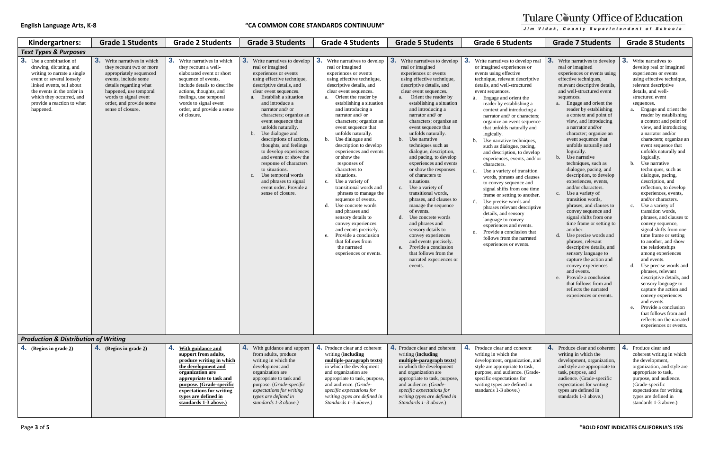| Kindergartners:                                                                                                                                                                                                                                        | <b>Grade 1 Students</b>                                                                                                                                                                                                                         | <b>Grade 2 Students</b>                                                                                                                                                                                                                                                  | <b>Grade 3 Students</b>                                                                                                                                                                                                                                                                                                                                                                                                                                                                                                                                                                            | <b>Grade 4 Students</b>                                                                                                                                                                                                                                                                                                                                                                                                                                                                                                                                                                                                                                                                                                                                                                                       | <b>Grade 5 Students</b>                                                                                                                                                                                                                                                                                                                                                                                                                                                                                                                                                                                                                                                                                                                                                                                                                                   | <b>Grade 6 Students</b>                                                                                                                                                                                                                                                                                                                                                                                                                                                                                                                                                                                                                                                                                                                                                                                                                                                                                             | <b>Grade 7 Students</b>                                                                                                                                                                                                                                                                                                                                                                                                                                                                                                                                                                                                                                                                                                                                                                                                                                                                                                                                                                                         | <b>Grade 8 Students</b>                                                                                                                                                                                                                                                                                                                                                                                                                                                                                                                                                                                                                                                                                                                                                                                                                                                                                                                                                                                                                                                                              |
|--------------------------------------------------------------------------------------------------------------------------------------------------------------------------------------------------------------------------------------------------------|-------------------------------------------------------------------------------------------------------------------------------------------------------------------------------------------------------------------------------------------------|--------------------------------------------------------------------------------------------------------------------------------------------------------------------------------------------------------------------------------------------------------------------------|----------------------------------------------------------------------------------------------------------------------------------------------------------------------------------------------------------------------------------------------------------------------------------------------------------------------------------------------------------------------------------------------------------------------------------------------------------------------------------------------------------------------------------------------------------------------------------------------------|---------------------------------------------------------------------------------------------------------------------------------------------------------------------------------------------------------------------------------------------------------------------------------------------------------------------------------------------------------------------------------------------------------------------------------------------------------------------------------------------------------------------------------------------------------------------------------------------------------------------------------------------------------------------------------------------------------------------------------------------------------------------------------------------------------------|-----------------------------------------------------------------------------------------------------------------------------------------------------------------------------------------------------------------------------------------------------------------------------------------------------------------------------------------------------------------------------------------------------------------------------------------------------------------------------------------------------------------------------------------------------------------------------------------------------------------------------------------------------------------------------------------------------------------------------------------------------------------------------------------------------------------------------------------------------------|---------------------------------------------------------------------------------------------------------------------------------------------------------------------------------------------------------------------------------------------------------------------------------------------------------------------------------------------------------------------------------------------------------------------------------------------------------------------------------------------------------------------------------------------------------------------------------------------------------------------------------------------------------------------------------------------------------------------------------------------------------------------------------------------------------------------------------------------------------------------------------------------------------------------|-----------------------------------------------------------------------------------------------------------------------------------------------------------------------------------------------------------------------------------------------------------------------------------------------------------------------------------------------------------------------------------------------------------------------------------------------------------------------------------------------------------------------------------------------------------------------------------------------------------------------------------------------------------------------------------------------------------------------------------------------------------------------------------------------------------------------------------------------------------------------------------------------------------------------------------------------------------------------------------------------------------------|------------------------------------------------------------------------------------------------------------------------------------------------------------------------------------------------------------------------------------------------------------------------------------------------------------------------------------------------------------------------------------------------------------------------------------------------------------------------------------------------------------------------------------------------------------------------------------------------------------------------------------------------------------------------------------------------------------------------------------------------------------------------------------------------------------------------------------------------------------------------------------------------------------------------------------------------------------------------------------------------------------------------------------------------------------------------------------------------------|
| <b>Text Types &amp; Purposes</b>                                                                                                                                                                                                                       |                                                                                                                                                                                                                                                 |                                                                                                                                                                                                                                                                          |                                                                                                                                                                                                                                                                                                                                                                                                                                                                                                                                                                                                    |                                                                                                                                                                                                                                                                                                                                                                                                                                                                                                                                                                                                                                                                                                                                                                                                               |                                                                                                                                                                                                                                                                                                                                                                                                                                                                                                                                                                                                                                                                                                                                                                                                                                                           |                                                                                                                                                                                                                                                                                                                                                                                                                                                                                                                                                                                                                                                                                                                                                                                                                                                                                                                     |                                                                                                                                                                                                                                                                                                                                                                                                                                                                                                                                                                                                                                                                                                                                                                                                                                                                                                                                                                                                                 |                                                                                                                                                                                                                                                                                                                                                                                                                                                                                                                                                                                                                                                                                                                                                                                                                                                                                                                                                                                                                                                                                                      |
| <b>3.</b> Use a combination of<br>drawing, dictating, and<br>writing to narrate a single<br>event or several loosely<br>linked events, tell about<br>the events in the order in<br>which they occurred, and<br>provide a reaction to what<br>happened. | <b>3.</b> Write narratives in which<br>they recount two or more<br>appropriately sequenced<br>events, include some<br>details regarding what<br>happened, use temporal<br>words to signal event<br>order, and provide some<br>sense of closure. | <b>3.</b> Write narratives in which<br>they recount a well-<br>elaborated event or short<br>sequence of events,<br>include details to describe<br>actions, thoughts, and<br>feelings, use temporal<br>words to signal event<br>order, and provide a sense<br>of closure. | 3.<br>Write narratives to develop<br>real or imagined<br>experiences or events<br>using effective technique,<br>descriptive details, and<br>clear event sequences.<br><b>Establish a situation</b><br>and introduce a<br>narrator and/ or<br>characters; organize an<br>event sequence that<br>unfolds naturally.<br>Use dialogue and<br>b.<br>descriptions of actions,<br>thoughts, and feelings<br>to develop experiences<br>and events or show the<br>response of characters<br>to situations.<br>c. Use temporal words<br>and phrases to signal<br>event order. Provide a<br>sense of closure. | 3<br>Write narratives to develop<br>real or imagined<br>experiences or events<br>using effective technique,<br>descriptive details, and<br>clear event sequences.<br>Orient the reader by<br>establishing a situation<br>and introducing a<br>narrator and/or<br>characters; organize an<br>event sequence that<br>unfolds naturally.<br>b. Use dialogue and<br>description to develop<br>experiences and events<br>or show the<br>responses of<br>characters to<br>situations.<br>Use a variety of<br>$c_{\cdot}$<br>transitional words and<br>phrases to manage the<br>sequence of events.<br>Use concrete words<br>d.<br>and phrases and<br>sensory details to<br>convey experiences<br>and events precisely.<br>Provide a conclusion<br>e.<br>that follows from<br>the narrated<br>experiences or events. | 3.<br>Write narratives to develop<br>real or imagined<br>experiences or events<br>using effective technique,<br>descriptive details, and<br>clear event sequences.<br>Orient the reader by<br>a.<br>establishing a situation<br>and introducing a<br>narrator and/or<br>characters; organize an<br>event sequence that<br>unfolds naturally.<br>b. Use narrative<br>techniques such as<br>dialogue, description,<br>and pacing, to develop<br>experiences and events<br>or show the responses<br>of characters to<br>situations.<br>c. Use a variety of<br>transitional words.<br>phrases, and clauses to<br>manage the sequence<br>of events.<br>d. Use concrete words<br>and phrases and<br>sensory details to<br>convey experiences<br>and events precisely.<br>e. Provide a conclusion<br>that follows from the<br>narrated experiences or<br>events. | 3.<br>Write narratives to develop real<br>or imagined experiences or<br>events using effective<br>technique, relevant descriptive<br>details, and well-structured<br>event sequences.<br>a. Engage and orient the<br>reader by establishing a<br>context and introducing a<br>narrator and/ or characters;<br>organize an event sequence<br>that unfolds naturally and<br>logically.<br>b. Use narrative techniques,<br>such as dialogue, pacing,<br>and description, to develop<br>experiences, events, and/or<br>characters.<br>c. Use a variety of transition<br>words, phrases and clauses<br>to convey sequence and<br>signal shifts from one time<br>frame or setting to another.<br>d. Use precise words and<br>phrases relevant descriptive<br>details, and sensory<br>language to convey<br>experiences and events.<br>e. Provide a conclusion that<br>follows from the narrated<br>experiences or events. | 3.<br>Write narratives to develop<br>real or imagined<br>experiences or events using<br>effective techniques,<br>relevant descriptive details,<br>and well-structured event<br>sequences.<br>Engage and orient the<br>reader by establishing<br>a context and point of<br>view, and introducing<br>a narrator and/or<br>character; organize an<br>event sequence that<br>unfolds naturally and<br>logically.<br>Use narrative<br>techniques, such as<br>dialogue, pacing, and<br>description, to develop<br>experiences, events,<br>and/or characters.<br>Use a variety of<br>C <sub>1</sub><br>transition words.<br>phrases, and clauses to<br>convey sequence and<br>signal shifts from one<br>time frame or setting to<br>another.<br>Use precise words and<br>d.<br>phrases, relevant<br>descriptive details, and<br>sensory language to<br>capture the action and<br>convey experiences<br>and events.<br>Provide a conclusion<br>that follows from and<br>reflects the narrated<br>experiences or events. | 3.<br>Write narratives to<br>develop real or imagined<br>experiences or events<br>using effective technique,<br>relevant descriptive<br>details, and well-<br>structured event<br>sequences.<br>Engage and orient the<br>reader by establishing<br>a context and point of<br>view, and introducing<br>a narrator and/or<br>characters; organize an<br>event sequence that<br>unfolds naturally and<br>logically.<br>Use narrative<br>$\mathbf b$<br>techniques, such as<br>dialogue, pacing,<br>description, and<br>reflection, to develop<br>experiences, events,<br>and/or characters.<br>Use a variety of<br>C.<br>transition words.<br>phrases, and clauses to<br>convey sequence,<br>signal shifts from one<br>time frame or setting<br>to another, and show<br>the relationships<br>among experiences<br>and events.<br>Use precise words and<br>phrases, relevant<br>descriptive details, and<br>sensory language to<br>capture the action and<br>convey experiences<br>and events.<br>e. Provide a conclusion<br>that follows from and<br>reflects on the narrated<br>experiences or events. |
| <b>Production &amp; Distribution of Writing</b>                                                                                                                                                                                                        |                                                                                                                                                                                                                                                 |                                                                                                                                                                                                                                                                          |                                                                                                                                                                                                                                                                                                                                                                                                                                                                                                                                                                                                    |                                                                                                                                                                                                                                                                                                                                                                                                                                                                                                                                                                                                                                                                                                                                                                                                               |                                                                                                                                                                                                                                                                                                                                                                                                                                                                                                                                                                                                                                                                                                                                                                                                                                                           |                                                                                                                                                                                                                                                                                                                                                                                                                                                                                                                                                                                                                                                                                                                                                                                                                                                                                                                     |                                                                                                                                                                                                                                                                                                                                                                                                                                                                                                                                                                                                                                                                                                                                                                                                                                                                                                                                                                                                                 |                                                                                                                                                                                                                                                                                                                                                                                                                                                                                                                                                                                                                                                                                                                                                                                                                                                                                                                                                                                                                                                                                                      |
| <b>4.</b> (Begins in grade $2$ )                                                                                                                                                                                                                       | <b>4.</b> (Begins in grade $2$ )                                                                                                                                                                                                                | <b>With guidance and</b><br>support from adults,                                                                                                                                                                                                                         | 4. With guidance and support<br>from adults, produce                                                                                                                                                                                                                                                                                                                                                                                                                                                                                                                                               | 4. Produce clear and coherent<br>writing (including                                                                                                                                                                                                                                                                                                                                                                                                                                                                                                                                                                                                                                                                                                                                                           | 4. Produce clear and coherent<br>writing (including                                                                                                                                                                                                                                                                                                                                                                                                                                                                                                                                                                                                                                                                                                                                                                                                       | Produce clear and coherent<br>4.<br>writing in which the                                                                                                                                                                                                                                                                                                                                                                                                                                                                                                                                                                                                                                                                                                                                                                                                                                                            | 4. Produce clear and coherent<br>writing in which the                                                                                                                                                                                                                                                                                                                                                                                                                                                                                                                                                                                                                                                                                                                                                                                                                                                                                                                                                           | 4. Produce clear and<br>coherent writing in which                                                                                                                                                                                                                                                                                                                                                                                                                                                                                                                                                                                                                                                                                                                                                                                                                                                                                                                                                                                                                                                    |
|                                                                                                                                                                                                                                                        |                                                                                                                                                                                                                                                 | produce writing in which<br>the development and<br>organization are<br>appropriate to task and<br>purpose. (Grade-specific<br>expectations for writing<br>types are defined in<br>standards 1-3 above.)                                                                  | writing in which the<br>development and<br>organization are<br>appropriate to task and<br>purpose. (Grade-specific<br>expectations for writing<br>types are defined in<br>standards 1-3 above.)                                                                                                                                                                                                                                                                                                                                                                                                    | multiple-paragraph texts)<br>in which the development<br>and organization are<br>appropriate to task, purpose,<br>and audience. (Grade-<br>specific expectations for<br>writing types are defined in<br>Standards $1-3$ above.)                                                                                                                                                                                                                                                                                                                                                                                                                                                                                                                                                                               | multiple-paragraph texts)<br>in which the development<br>and organization are<br>appropriate to task, purpose,<br>and audience. (Grade-<br>specific expectations for<br>writing types are defined in<br>Standards $1-3$ above.)                                                                                                                                                                                                                                                                                                                                                                                                                                                                                                                                                                                                                           | development, organization, and<br>style are appropriate to task,<br>purpose, and audience. (Grade-<br>specific expectations for<br>writing types are defined in<br>standards 1-3 above.)                                                                                                                                                                                                                                                                                                                                                                                                                                                                                                                                                                                                                                                                                                                            | development, organization,<br>and style are appropriate to<br>task, purpose, and<br>audience. (Grade-specific<br>expectations for writing<br>types are defined in<br>standards 1-3 above.)                                                                                                                                                                                                                                                                                                                                                                                                                                                                                                                                                                                                                                                                                                                                                                                                                      | the development,<br>organization, and style are<br>appropriate to task,<br>purpose, and audience.<br>(Grade-specific<br>expectations for writing<br>types are defined in<br>standards 1-3 above.)                                                                                                                                                                                                                                                                                                                                                                                                                                                                                                                                                                                                                                                                                                                                                                                                                                                                                                    |

# Tulare County Office of Education Jim Vidak, County Superintendent of Schools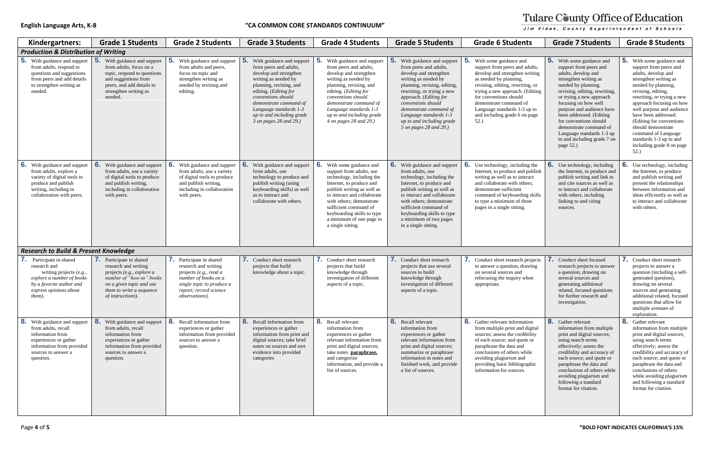| Kindergartners:                                                                                                                                                       | <b>Grade 1 Students</b>                                                                                                                                                                       | <b>Grade 2 Students</b>                                                                                                                                                     | <b>Grade 3 Students</b>                                                                                                                                                                                                                                                                                      | <b>Grade 4 Students</b>                                                                                                                                                                                                                                                                                      | <b>Grade 5 Students</b>                                                                                                                                                                                                                                                                                                        | <b>Grade 6 Students</b>                                                                                                                                                                                                                                                                                                  | <b>Grade 7 Students</b>                                                                                                                                                                                                                                                                                                                                                                                      | <b>Grade 8 Students</b>                                                                                                                                                                                                                                                                                                                                                                                       |
|-----------------------------------------------------------------------------------------------------------------------------------------------------------------------|-----------------------------------------------------------------------------------------------------------------------------------------------------------------------------------------------|-----------------------------------------------------------------------------------------------------------------------------------------------------------------------------|--------------------------------------------------------------------------------------------------------------------------------------------------------------------------------------------------------------------------------------------------------------------------------------------------------------|--------------------------------------------------------------------------------------------------------------------------------------------------------------------------------------------------------------------------------------------------------------------------------------------------------------|--------------------------------------------------------------------------------------------------------------------------------------------------------------------------------------------------------------------------------------------------------------------------------------------------------------------------------|--------------------------------------------------------------------------------------------------------------------------------------------------------------------------------------------------------------------------------------------------------------------------------------------------------------------------|--------------------------------------------------------------------------------------------------------------------------------------------------------------------------------------------------------------------------------------------------------------------------------------------------------------------------------------------------------------------------------------------------------------|---------------------------------------------------------------------------------------------------------------------------------------------------------------------------------------------------------------------------------------------------------------------------------------------------------------------------------------------------------------------------------------------------------------|
| <b>Production &amp; Distribution of Writing</b>                                                                                                                       |                                                                                                                                                                                               |                                                                                                                                                                             |                                                                                                                                                                                                                                                                                                              |                                                                                                                                                                                                                                                                                                              |                                                                                                                                                                                                                                                                                                                                |                                                                                                                                                                                                                                                                                                                          |                                                                                                                                                                                                                                                                                                                                                                                                              |                                                                                                                                                                                                                                                                                                                                                                                                               |
| With guidance and support<br>from adults, respond to<br>questions and suggestions<br>from peers and add details<br>to strengthen writing as<br>needed.                | b<br>With guidance and support<br>from adults, focus on a<br>topic, respond to questions<br>and suggestions from<br>peers, and add details to<br>strengthen writing as<br>needed.             | 5.<br>With guidance and support<br>from adults and peers,<br>focus on topic and<br>strengthen writing as<br>needed by revising and<br>editing.                              | 5 <sub>1</sub><br>With guidance and support<br>from peers and adults,<br>develop and strengthen<br>writing as needed by<br>planning, revising, and<br>editing. (Editing for<br>conventions should<br>demonstrate command of<br>Language standards 1-3<br>up to and including grade<br>3 on pages 28 and 29.) | With guidance and support<br>from peers and adults,<br>develop and strengthen<br>writing as needed by<br>planning, revising, and<br>editing. ( <i>Editing for</i><br>conventions should<br>demonstrate command of<br>Language standards 1-3<br>up to and including grade<br>4 on pages 28 and 29.)           | With guidance and support<br>from peers and adults,<br>develop and strengthen<br>writing as needed by<br>planning, revising, editing,<br>rewriting, or trying a new<br>approach. (Editing for<br>conventions should<br>demonstrate command of<br>Language standards 1-3<br>up to and including grade<br>5 on pages 28 and 29.) | With some guidance and<br>support from peers and adults,<br>develop and strengthen writing<br>as needed by planning,<br>revising, editing, rewriting, or<br>trying a new approach. (Editing<br>for conventions should<br>demonstrate command of<br>Language standards 1-3 up to<br>and including grade 6 on page<br>52.) | <b>5.</b> With some guidance and<br>support from peers and<br>adults, develop and<br>strengthen writing as<br>needed by planning,<br>revising, editing, rewriting,<br>or trying a new approach<br>focusing on how well<br>purpose and audience have<br>been addressed. (Editing<br>for conventions should<br>demonstrate command of<br>Language standards 1-3 up<br>to and including grade 7 on<br>page 52.) | <b>5.</b> With some guidance and<br>support from peers and<br>adults, develop and<br>strengthen writing as<br>needed by planning,<br>revising, editing,<br>rewriting, or trying a nev<br>approach focusing on ho<br>well purpose and audieno<br>have been addressed.<br>(Editing for conventions)<br>should demonstrate<br>command of Language<br>standards 1-3 up to and<br>including grade 8 on pag<br>52.) |
| 6.<br>With guidance and support<br>from adults, explore a<br>variety of digital tools to<br>produce and publish<br>writing, including in<br>collaboration with peers. | 6.<br>With guidance and support<br>from adults, use a variety<br>of digital tools to produce<br>and publish writing,<br>including in collaboration<br>with peers.                             | 6.<br>With guidance and support<br>from adults, use a variety<br>of digital tools to produce<br>and publish writing,<br>including in collaboration<br>with peers.           | 6.<br>With guidance and support<br>from adults, use<br>technology to produce and<br>publish writing (using<br>keyboarding skills) as well<br>as to interact and<br>collaborate with others.                                                                                                                  | With some guidance and<br>support from adults, use<br>technology, including the<br>Internet, to produce and<br>publish writing as well as<br>to interact and collaborate<br>with others; demonstrate<br>sufficient command of<br>keyboarding skills to type<br>a minimum of one page in<br>a single sitting. | 6. With guidance and support<br>from adults, use<br>technology, including the<br>Internet, to produce and<br>publish writing as well as<br>to interact and collaborate<br>with others; demonstrate<br>sufficient command of<br>keyboarding skills to type<br>a minimum of two pages<br>in a single sitting.                    | Use technology, including the<br>Internet, to produce and publish<br>writing as well as to interact<br>and collaborate with others;<br>demonstrate sufficient<br>command of keyboarding skills<br>to type a minimum of three<br>pages in a single sitting.                                                               | <b>6.</b> Use technology, including<br>the Internet, to produce and<br>publish writing and link to<br>and cite sources as well as<br>to interact and collaborate<br>with others, including<br>linking to and citing<br>sources.                                                                                                                                                                              | <b>6.</b> Use technology, including<br>the Internet, to produce<br>and publish writing and<br>present the relationships<br>between information and<br>ideas efficiently as well a<br>to interact and collaborat<br>with others.                                                                                                                                                                               |
| <b>Research to Build &amp; Present Knowledge</b>                                                                                                                      |                                                                                                                                                                                               |                                                                                                                                                                             |                                                                                                                                                                                                                                                                                                              |                                                                                                                                                                                                                                                                                                              |                                                                                                                                                                                                                                                                                                                                |                                                                                                                                                                                                                                                                                                                          |                                                                                                                                                                                                                                                                                                                                                                                                              |                                                                                                                                                                                                                                                                                                                                                                                                               |
| Participate in shared<br>research and<br>writing projects $(e.g.,$<br>explore a number of books<br>by a favorite author and<br>express opinions about<br>them).       | <b>7.</b> Participate in shared<br>research and writing<br>projects (e.g., explore a<br>number of "how-to" books<br>on a given topic and use<br>them to write a sequence<br>of instructions). | 7. Participate in shared<br>research and writing<br>projects (e.g., read a<br>number of books on a<br>single topic to produce a<br>report; record science<br>observations). | 7.<br>Conduct short research<br>projects that build<br>knowledge about a topic.                                                                                                                                                                                                                              | 7. Conduct short research<br>projects that build<br>knowledge through<br>investigation of different<br>aspects of a topic.                                                                                                                                                                                   | <b>7.</b> Conduct short research<br>projects that use several<br>sources to build<br>knowledge through<br>investigation of different<br>aspects of a topic.                                                                                                                                                                    | 7. Conduct short research projects<br>to answer a question, drawing<br>on several sources and<br>refocusing the inquiry when<br>appropriate.                                                                                                                                                                             | Conduct short focused<br>research projects to answer<br>a question, drawing on<br>several sources and<br>generating additional<br>related, focused questions<br>for further research and<br>investigation.                                                                                                                                                                                                   | 7. Conduct short research<br>projects to answer a<br>question (including a sel<br>generated question),<br>drawing on several<br>sources and generating<br>additional related, focuse<br>questions that allow for<br>multiple avenues of<br>exploration.                                                                                                                                                       |
| 8.<br>With guidance and support<br>from adults, recall<br>information from<br>experiences or gather<br>information from provided<br>sources to answer a<br>question.  | 8.<br>With guidance and support<br>from adults, recall<br>information from<br>experiences or gather<br>information from provided<br>sources to answer a<br>question.                          | 8. Recall information from<br>experiences or gather<br>information from provided<br>sources to answer a<br>question.                                                        | 8. Recall information from<br>experiences or gather<br>information from print and<br>digital sources; take brief<br>notes on sources and sort<br>evidence into provided<br>categories                                                                                                                        | 8. Recall relevant<br>information from<br>experiences or gather<br>relevant information from<br>print and digital sources;<br>take notes paraphrase,<br>and categorize<br>information, and provide a<br>list of sources.                                                                                     | 8. Recall relevant<br>information from<br>experiences or gather<br>relevant information from<br>print and digital sources;<br>summarize or paraphrase<br>information in notes and<br>finished work, and provide<br>a list of sources.                                                                                          | 8. Gather relevant information<br>from multiple print and digital<br>sources; assess the credibility<br>of each source; and quote or<br>paraphrase the data and<br>conclusions of others while<br>avoiding plagiarism and<br>providing basic bibliographic<br>information for sources.                                   | 8. Gather relevant<br>information from multiple<br>print and digital sources;<br>using search terms<br>effectively; assess the<br>credibility and accuracy of<br>each source; and quote or<br>paraphrase the data and<br>conclusions of others while<br>avoiding plagiarism and<br>following a standard<br>format for citation.                                                                              | 8. Gather relevant<br>information from multip<br>print and digital sources;<br>using search terms<br>effectively; assess the<br>credibility and accuracy<br>each source; and quote o<br>paraphrase the data and<br>conclusions of others<br>while avoiding plagiarisi<br>and following a standard<br>format for citation.                                                                                     |

# Tulare County Office of Education

Jim Vidak, County Superintendent of Schools **5.** With some guidance and **5.** With some guidance and adults, support from peers and support from peers and adults, develop and adults, develop and developed strengthen writing as strengthen writing as ting, or needed by planning, needed by planning, (Editing revising, editing, rewriting, revising, editing, or trying a new approach rewriting, or trying a new focusing on how well approach focusing on how l of  $-3$  up to purpose and audience have well purpose and audience been addressed. (Editing have been addressed. on page for conventions should (Editing for conventions demonstrate command of should demonstrate Language standards 1-3 up command of Language to and including grade 7 on standards 1-3 up to and including grade 8 on page page 52.) 52.) **6.** Use technology, including **6.** Use technology, including  $\lim g$  the Internet and publish the Internet, to produce the Internet, to produce and publish writing and link to and publish writing and teract and cite sources as well as present the relationships thers; to interact and collaborate between information and ing skills with others, including ideas efficiently as well as to interact and collaborate three linking to and citing sources. with others. **7.** Conduct short research **7.** Conduct short focused 1. projects research projects to answer trawing projects to answer a question (including a selfa question, drawing on when several sources and generated question), generating additional drawing on several related, focused questions sources and generating for further research and additional related, focused investigation. questions that allow for multiple avenues of exploration. **8.** Gather relevant **8.** Gather relevant **8.** Altion l digital information from multiple information from multiple print and digital sources; print and digital sources; dibility using search terms using search terms ote or effectively; assess the effectively; assess the while credibility and accuracy of credibility and accuracy of each source; and quote or each source; and quote or graphic paraphrase the data and paraphrase the data and conclusions of others while conclusions of others avoiding plagiarism and while avoiding plagiarism and following a standard following a standard format for citation. format for citation.